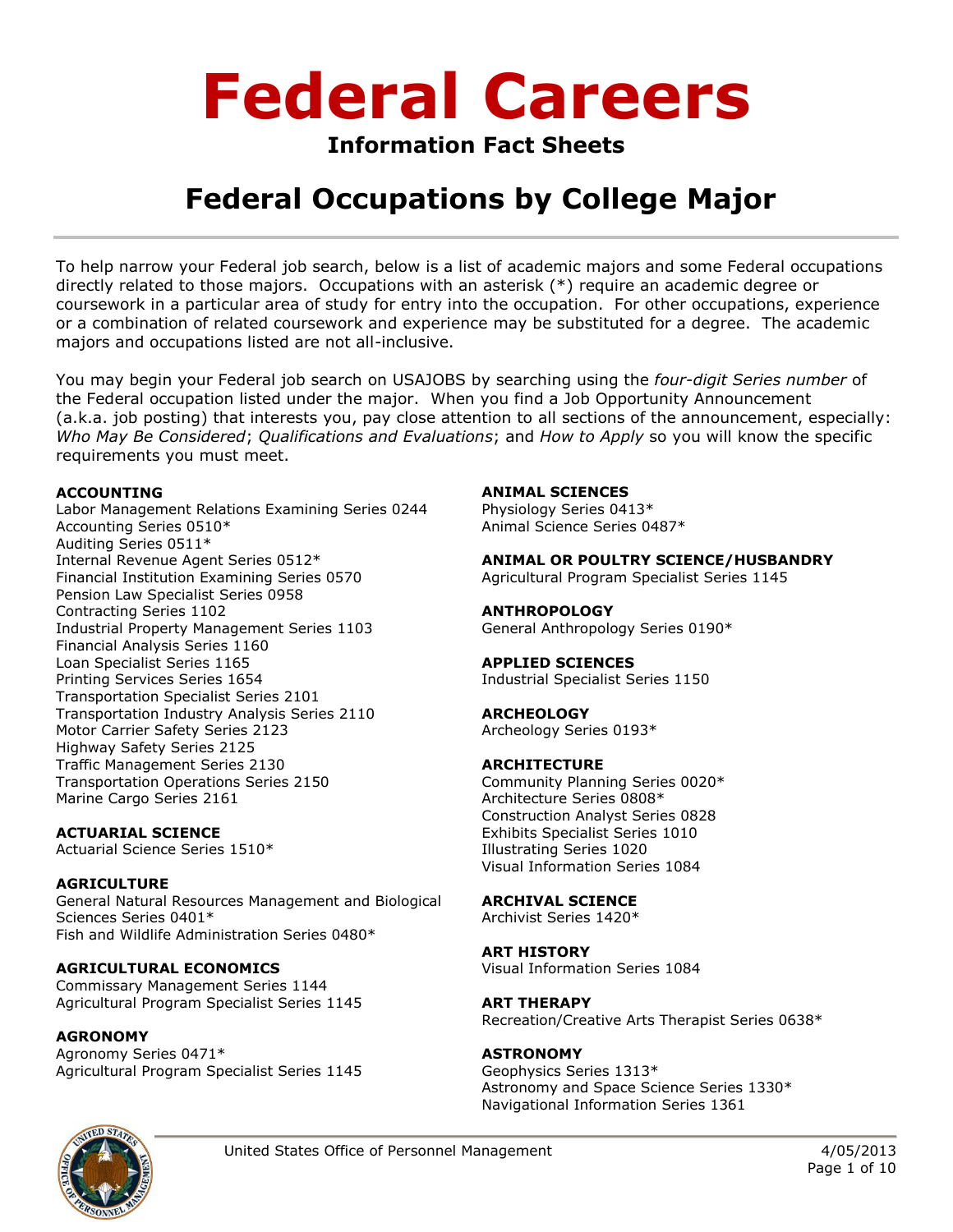### **Information Fact Sheets**

## **Federal Occupations by College Major**

To help narrow your Federal job search, below is a list of academic majors and some Federal occupations directly related to those majors. Occupations with an asterisk (\*) require an academic degree or coursework in a particular area of study for entry into the occupation. For other occupations, experience or a combination of related coursework and experience may be substituted for a degree. The academic majors and occupations listed are not all-inclusive.

You may begin your Federal job search on USAJOBS by searching using the *four-digit Series number* of the Federal occupation listed under the major. When you find a Job Opportunity Announcement (a.k.a. job posting) that interests you, pay close attention to all sections of the announcement, especially: *Who May Be Considered*; *Qualifications and Evaluations*; and *How to Apply* so you will know the specific requirements you must meet.

### **ACCOUNTING**

Labor Management Relations Examining Series 0244 Accounting Series 0510\* Auditing Series 0511\* Internal Revenue Agent Series 0512\* Financial Institution Examining Series 0570 Pension Law Specialist Series 0958 Contracting Series 1102 Industrial Property Management Series 1103 Financial Analysis Series 1160 Loan Specialist Series 1165 Printing Services Series 1654 Transportation Specialist Series 2101 Transportation Industry Analysis Series 2110 Motor Carrier Safety Series 2123 Highway Safety Series 2125 Traffic Management Series 2130 Transportation Operations Series 2150 Marine Cargo Series 2161

### **ACTUARIAL SCIENCE**

Actuarial Science Series 1510\*

### **AGRICULTURE**

General Natural Resources Management and Biological Sciences Series 0401\* Fish and Wildlife Administration Series 0480\*

### **AGRICULTURAL ECONOMICS**

Commissary Management Series 1144 Agricultural Program Specialist Series 1145

### **AGRONOMY**

Agronomy Series 0471\* Agricultural Program Specialist Series 1145

### **ANIMAL SCIENCES**

Physiology Series 0413\* Animal Science Series 0487\*

**ANIMAL OR POULTRY SCIENCE/HUSBANDRY**

Agricultural Program Specialist Series 1145

### **ANTHROPOLOGY**

General Anthropology Series 0190\*

### **APPLIED SCIENCES**

Industrial Specialist Series 1150

### **ARCHEOLOGY**

Archeology Series 0193\*

### **ARCHITECTURE**

Community Planning Series 0020\* Architecture Series 0808\* Construction Analyst Series 0828 Exhibits Specialist Series 1010 Illustrating Series 1020 Visual Information Series 1084

### **ARCHIVAL SCIENCE**

Archivist Series 1420\*

### **ART HISTORY**

Visual Information Series 1084

### **ART THERAPY**

Recreation/Creative Arts Therapist Series 0638\*

### **ASTRONOMY**

Geophysics Series 1313\* Astronomy and Space Science Series 1330\* Navigational Information Series 1361

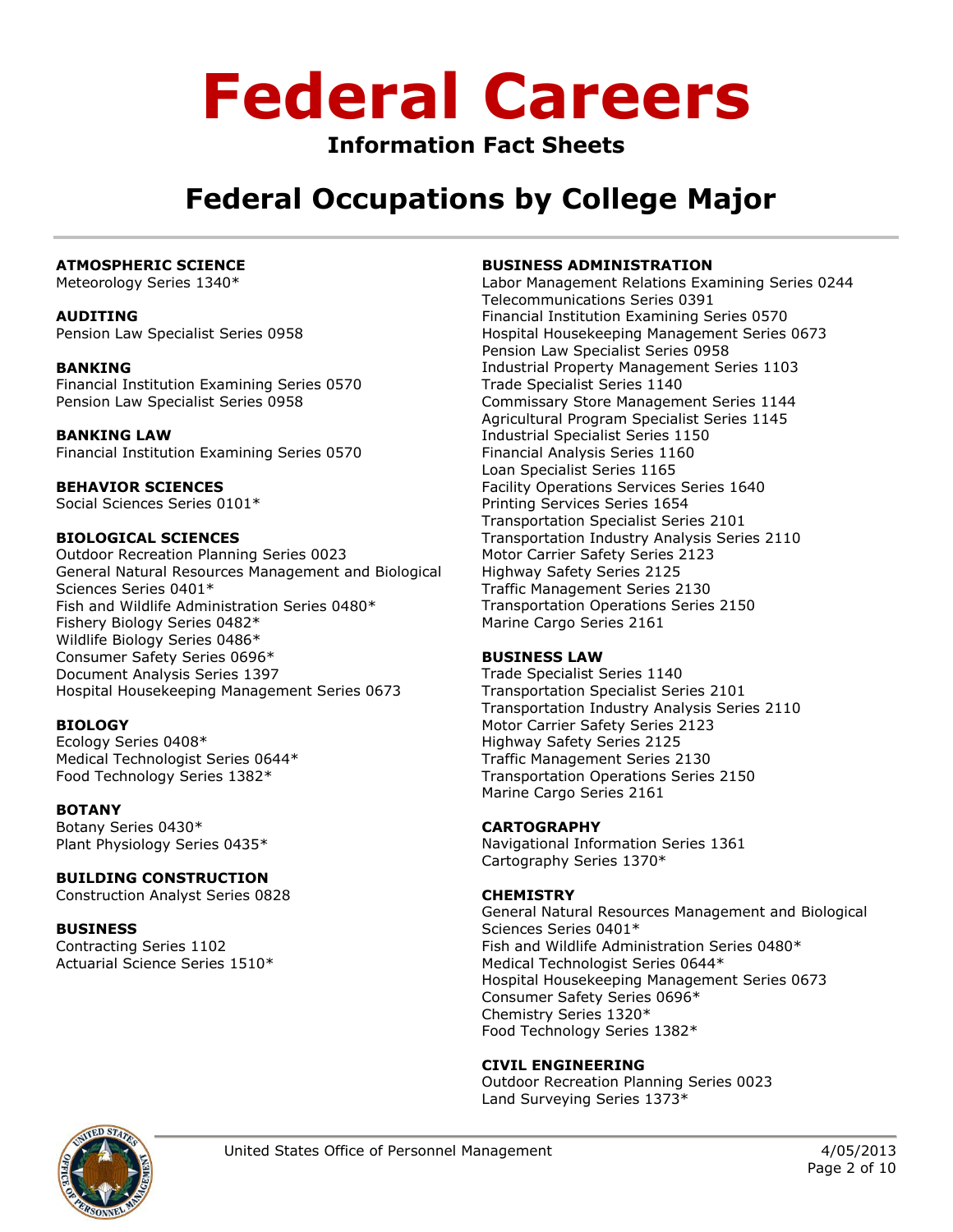### **Information Fact Sheets**

## **Federal Occupations by College Major**

### **ATMOSPHERIC SCIENCE**

Meteorology Series 1340\*

### **AUDITING**

Pension Law Specialist Series 0958

### **BANKING**

Financial Institution Examining Series 0570 Pension Law Specialist Series 0958

### **BANKING LAW**

Financial Institution Examining Series 0570

### **BEHAVIOR SCIENCES**

Social Sciences Series 0101\*

### **BIOLOGICAL SCIENCES**

Outdoor Recreation Planning Series 0023 General Natural Resources Management and Biological Sciences Series 0401\* Fish and Wildlife Administration Series 0480\* Fishery Biology Series 0482\* Wildlife Biology Series 0486\* Consumer Safety Series 0696\* Document Analysis Series 1397 Hospital Housekeeping Management Series 0673

### **BIOLOGY**

Ecology Series 0408\* Medical Technologist Series 0644\* Food Technology Series 1382\*

### **BOTANY**

Botany Series 0430\* Plant Physiology Series 0435\*

### **BUILDING CONSTRUCTION**

Construction Analyst Series 0828

### **BUSINESS**

Contracting Series 1102 Actuarial Science Series 1510\*

### **BUSINESS ADMINISTRATION**

Labor Management Relations Examining Series 0244 Telecommunications Series 0391 Financial Institution Examining Series 0570 Hospital Housekeeping Management Series 0673 Pension Law Specialist Series 0958 Industrial Property Management Series 1103 Trade Specialist Series 1140 Commissary Store Management Series 1144 Agricultural Program Specialist Series 1145 Industrial Specialist Series 1150 Financial Analysis Series 1160 Loan Specialist Series 1165 Facility Operations Services Series 1640 Printing Services Series 1654 Transportation Specialist Series 2101 Transportation Industry Analysis Series 2110 Motor Carrier Safety Series 2123 Highway Safety Series 2125 Traffic Management Series 2130 Transportation Operations Series 2150 Marine Cargo Series 2161

### **BUSINESS LAW**

Trade Specialist Series 1140 Transportation Specialist Series 2101 Transportation Industry Analysis Series 2110 Motor Carrier Safety Series 2123 Highway Safety Series 2125 Traffic Management Series 2130 Transportation Operations Series 2150 Marine Cargo Series 2161

### **CARTOGRAPHY**

Navigational Information Series 1361 Cartography Series 1370\*

### **CHEMISTRY**

General Natural Resources Management and Biological Sciences Series 0401\* Fish and Wildlife Administration Series 0480\* Medical Technologist Series 0644\* Hospital Housekeeping Management Series 0673 Consumer Safety Series 0696\* Chemistry Series 1320\* Food Technology Series 1382\*

### **CIVIL ENGINEERING**

Outdoor Recreation Planning Series 0023 Land Surveying Series 1373\*

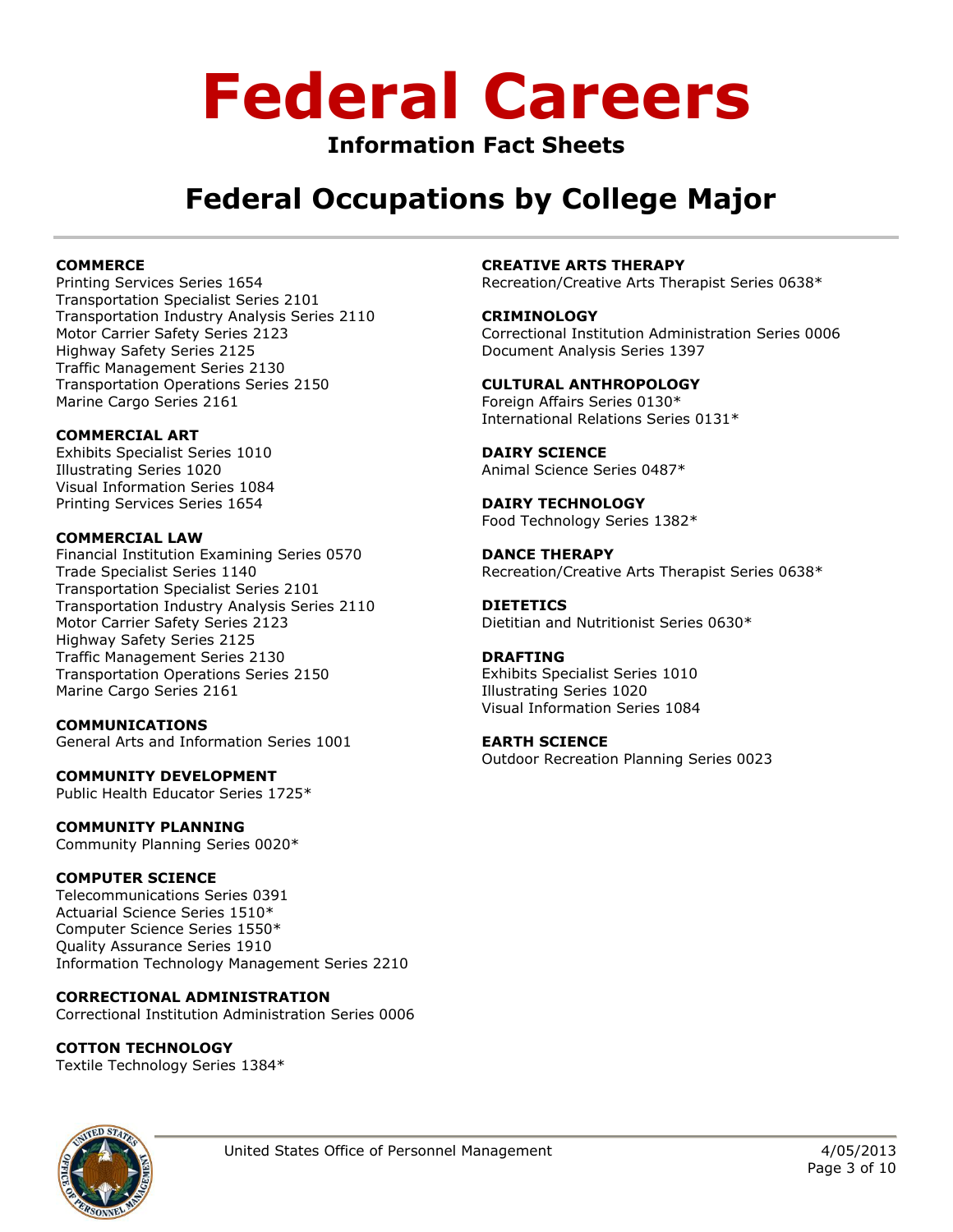### **Information Fact Sheets**

## **Federal Occupations by College Major**

### **COMMERCE**

Printing Services Series 1654 Transportation Specialist Series 2101 Transportation Industry Analysis Series 2110 Motor Carrier Safety Series 2123 Highway Safety Series 2125 Traffic Management Series 2130 Transportation Operations Series 2150 Marine Cargo Series 2161

### **COMMERCIAL ART**

Exhibits Specialist Series 1010 Illustrating Series 1020 Visual Information Series 1084 Printing Services Series 1654

### **COMMERCIAL LAW**

Financial Institution Examining Series 0570 Trade Specialist Series 1140 Transportation Specialist Series 2101 Transportation Industry Analysis Series 2110 Motor Carrier Safety Series 2123 Highway Safety Series 2125 Traffic Management Series 2130 Transportation Operations Series 2150 Marine Cargo Series 2161

#### **COMMUNICATIONS** General Arts and Information Series 1001

**COMMUNITY DEVELOPMENT**

Public Health Educator Series 1725\*

### **COMMUNITY PLANNING**

Community Planning Series 0020\*

### **COMPUTER SCIENCE**

Telecommunications Series 0391 Actuarial Science Series 1510\* Computer Science Series 1550\* Quality Assurance Series 1910 Information Technology Management Series 2210

### **CORRECTIONAL ADMINISTRATION**

Correctional Institution Administration Series 0006

### **COTTON TECHNOLOGY**

Textile Technology Series 1384\*

### **CREATIVE ARTS THERAPY**

Recreation/Creative Arts Therapist Series 0638\*

### **CRIMINOLOGY**

Correctional Institution Administration Series 0006 Document Analysis Series 1397

### **CULTURAL ANTHROPOLOGY**

Foreign Affairs Series 0130\* International Relations Series 0131\*

#### **DAIRY SCIENCE** Animal Science Series 0487\*

**DAIRY TECHNOLOGY** Food Technology Series 1382\*

**DANCE THERAPY** Recreation/Creative Arts Therapist Series 0638\*

#### **DIETETICS** Dietitian and Nutritionist Series 0630\*

### **DRAFTING**

Exhibits Specialist Series 1010 Illustrating Series 1020 Visual Information Series 1084

### **EARTH SCIENCE**

Outdoor Recreation Planning Series 0023

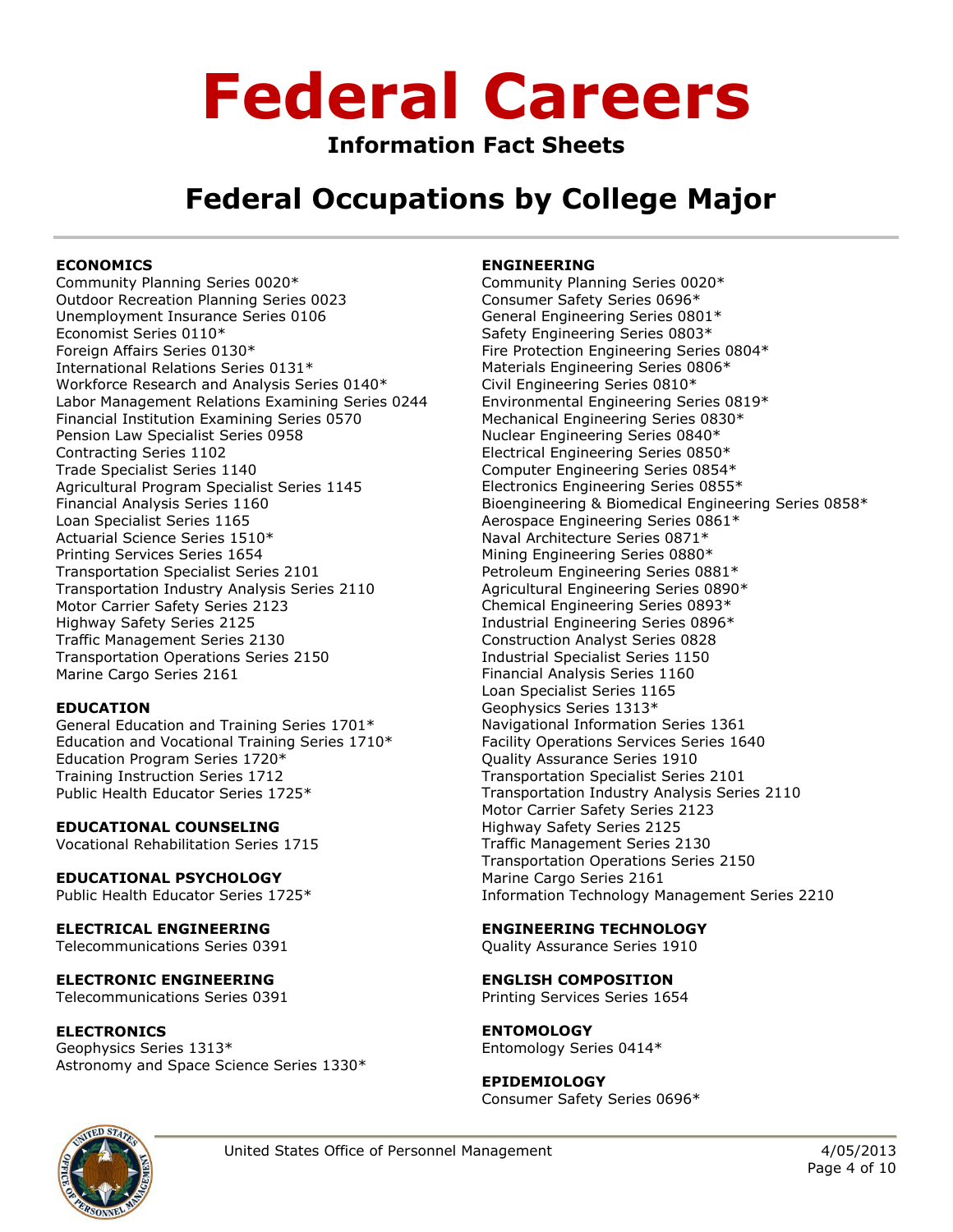### **Information Fact Sheets**

## **Federal Occupations by College Major**

### **ECONOMICS**

Community Planning Series 0020\* Outdoor Recreation Planning Series 0023 Unemployment Insurance Series 0106 Economist Series 0110\* Foreign Affairs Series 0130\* International Relations Series 0131\* Workforce Research and Analysis Series 0140\* Labor Management Relations Examining Series 0244 Financial Institution Examining Series 0570 Pension Law Specialist Series 0958 Contracting Series 1102 Trade Specialist Series 1140 Agricultural Program Specialist Series 1145 Financial Analysis Series 1160 Loan Specialist Series 1165 Actuarial Science Series 1510\* Printing Services Series 1654 Transportation Specialist Series 2101 Transportation Industry Analysis Series 2110 Motor Carrier Safety Series 2123 Highway Safety Series 2125 Traffic Management Series 2130 Transportation Operations Series 2150 Marine Cargo Series 2161

### **EDUCATION**

General Education and Training Series 1701\* Education and Vocational Training Series 1710\* Education Program Series 1720\* Training Instruction Series 1712 Public Health Educator Series 1725\*

**EDUCATIONAL COUNSELING** Vocational Rehabilitation Series 1715

**EDUCATIONAL PSYCHOLOGY** Public Health Educator Series 1725\*

**ELECTRICAL ENGINEERING** Telecommunications Series 0391

**ELECTRONIC ENGINEERING** Telecommunications Series 0391

**ELECTRONICS** Geophysics Series 1313\* Astronomy and Space Science Series 1330\*

### **ENGINEERING**

Community Planning Series 0020\* Consumer Safety Series 0696\* General Engineering Series 0801\* Safety Engineering Series 0803\* Fire Protection Engineering Series 0804\* Materials Engineering Series 0806\* Civil Engineering Series 0810\* Environmental Engineering Series 0819\* Mechanical Engineering Series 0830\* Nuclear Engineering Series 0840\* Electrical Engineering Series 0850\* Computer Engineering Series 0854\* Electronics Engineering Series 0855\* Bioengineering & Biomedical Engineering Series 0858\* Aerospace Engineering Series 0861\* Naval Architecture Series 0871\* Mining Engineering Series 0880\* Petroleum Engineering Series 0881\* Agricultural Engineering Series 0890\* Chemical Engineering Series 0893\* Industrial Engineering Series 0896\* Construction Analyst Series 0828 Industrial Specialist Series 1150 Financial Analysis Series 1160 Loan Specialist Series 1165 Geophysics Series 1313\* Navigational Information Series 1361 Facility Operations Services Series 1640 Quality Assurance Series 1910 Transportation Specialist Series 2101 Transportation Industry Analysis Series 2110 Motor Carrier Safety Series 2123 Highway Safety Series 2125 Traffic Management Series 2130 Transportation Operations Series 2150 Marine Cargo Series 2161 Information Technology Management Series 2210

### **ENGINEERING TECHNOLOGY**

Quality Assurance Series 1910

**ENGLISH COMPOSITION** Printing Services Series 1654

**ENTOMOLOGY** Entomology Series 0414\*

**EPIDEMIOLOGY** Consumer Safety Series 0696\*

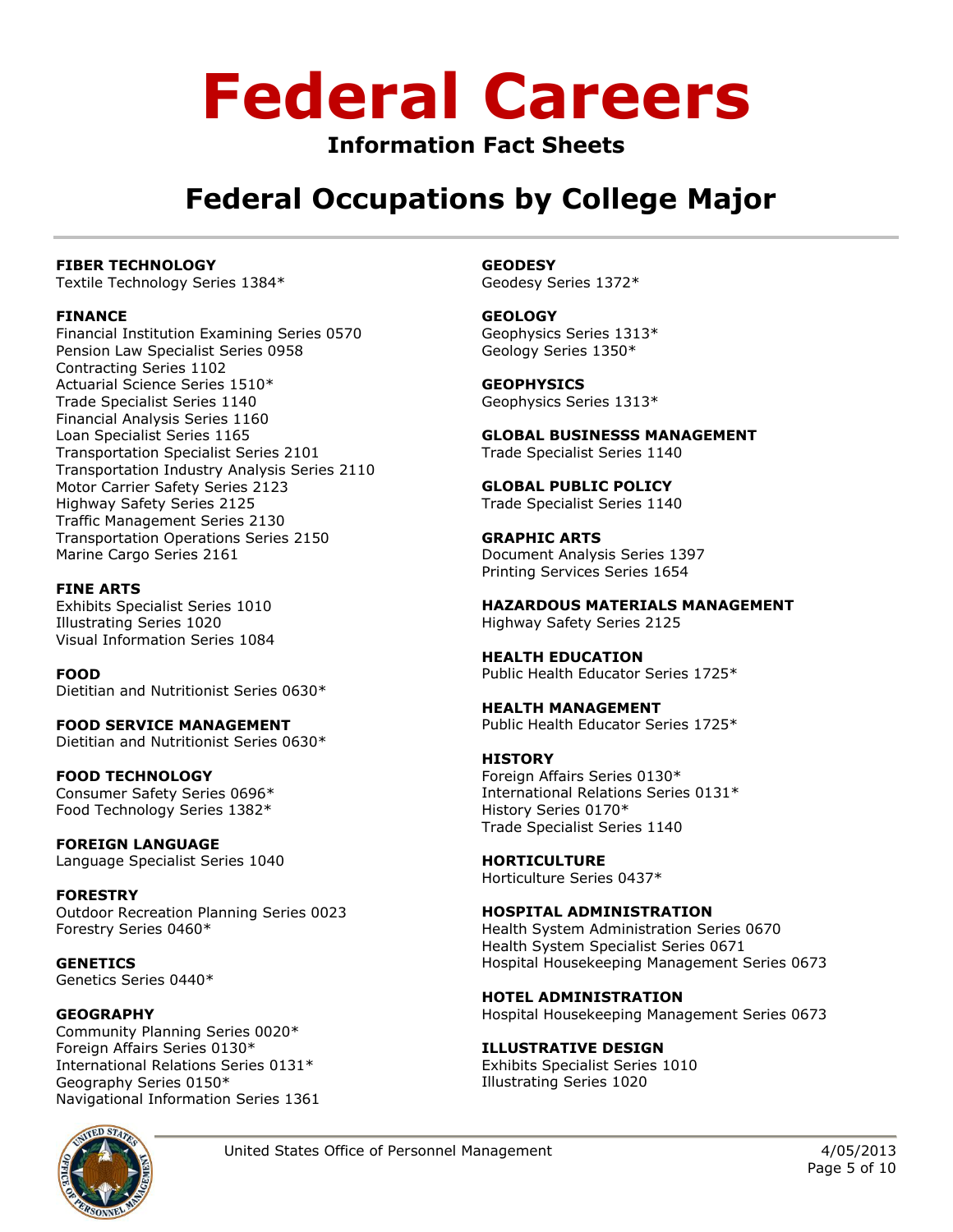### **Information Fact Sheets**

### **Federal Occupations by College Major**

### **FIBER TECHNOLOGY**

Textile Technology Series 1384\*

### **FINANCE**

Financial Institution Examining Series 0570 Pension Law Specialist Series 0958 Contracting Series 1102 Actuarial Science Series 1510\* Trade Specialist Series 1140 Financial Analysis Series 1160 Loan Specialist Series 1165 Transportation Specialist Series 2101 Transportation Industry Analysis Series 2110 Motor Carrier Safety Series 2123 Highway Safety Series 2125 Traffic Management Series 2130 Transportation Operations Series 2150 Marine Cargo Series 2161

**FINE ARTS** Exhibits Specialist Series 1010 Illustrating Series 1020 Visual Information Series 1084

**FOOD** Dietitian and Nutritionist Series 0630\*

**FOOD SERVICE MANAGEMENT** Dietitian and Nutritionist Series 0630\*

**FOOD TECHNOLOGY** Consumer Safety Series 0696\* Food Technology Series 1382\*

**FOREIGN LANGUAGE** Language Specialist Series 1040

**FORESTRY** Outdoor Recreation Planning Series 0023 Forestry Series 0460\*

**GENETICS** Genetics Series 0440\*

### **GEOGRAPHY**

Community Planning Series 0020\* Foreign Affairs Series 0130\* International Relations Series 0131\* Geography Series 0150\* Navigational Information Series 1361



**GEODESY** Geodesy Series 1372\*

**GEOLOGY** Geophysics Series 1313\* Geology Series 1350\*

**GEOPHYSICS** Geophysics Series 1313\*

**GLOBAL BUSINESSS MANAGEMENT** Trade Specialist Series 1140

**GLOBAL PUBLIC POLICY** Trade Specialist Series 1140

**GRAPHIC ARTS** Document Analysis Series 1397 Printing Services Series 1654

**HAZARDOUS MATERIALS MANAGEMENT** Highway Safety Series 2125

**HEALTH EDUCATION** Public Health Educator Series 1725\*

**HEALTH MANAGEMENT** Public Health Educator Series 1725\*

### **HISTORY**

Foreign Affairs Series 0130\* International Relations Series 0131\* History Series 0170\* Trade Specialist Series 1140

**HORTICULTURE** Horticulture Series 0437\*

### **HOSPITAL ADMINISTRATION**

Health System Administration Series 0670 Health System Specialist Series 0671 Hospital Housekeeping Management Series 0673

**HOTEL ADMINISTRATION** Hospital Housekeeping Management Series 0673

**ILLUSTRATIVE DESIGN** Exhibits Specialist Series 1010 Illustrating Series 1020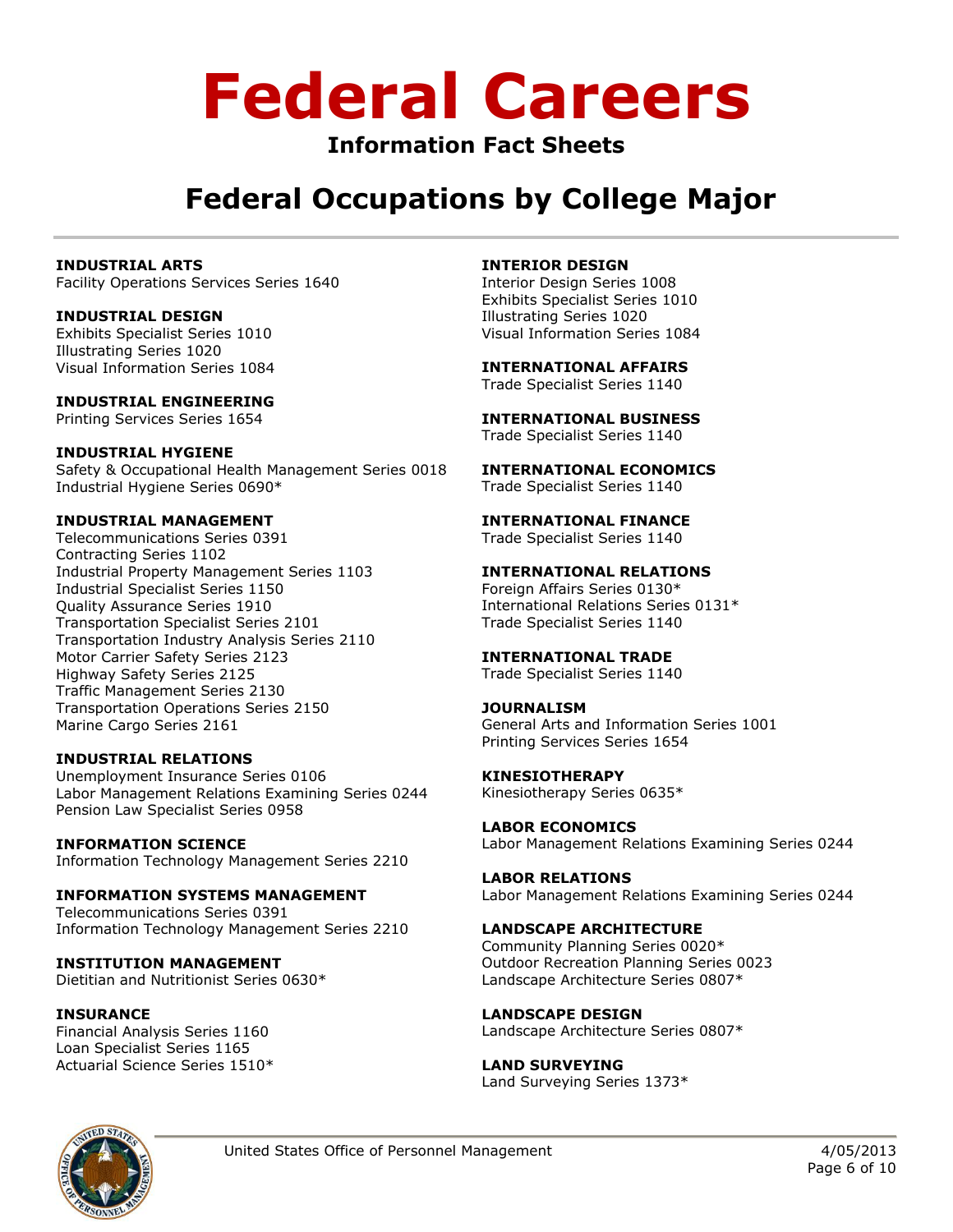### **Information Fact Sheets**

## **Federal Occupations by College Major**

### **INDUSTRIAL ARTS**

Facility Operations Services Series 1640

### **INDUSTRIAL DESIGN**

Exhibits Specialist Series 1010 Illustrating Series 1020 Visual Information Series 1084

### **INDUSTRIAL ENGINEERING**

Printing Services Series 1654

### **INDUSTRIAL HYGIENE**

Safety & Occupational Health Management Series 0018 Industrial Hygiene Series 0690\*

### **INDUSTRIAL MANAGEMENT**

Telecommunications Series 0391 Contracting Series 1102 Industrial Property Management Series 1103 Industrial Specialist Series 1150 Quality Assurance Series 1910 Transportation Specialist Series 2101 Transportation Industry Analysis Series 2110 Motor Carrier Safety Series 2123 Highway Safety Series 2125 Traffic Management Series 2130 Transportation Operations Series 2150 Marine Cargo Series 2161

### **INDUSTRIAL RELATIONS**

Unemployment Insurance Series 0106 Labor Management Relations Examining Series 0244 Pension Law Specialist Series 0958

**INFORMATION SCIENCE** Information Technology Management Series 2210

**INFORMATION SYSTEMS MANAGEMENT** Telecommunications Series 0391 Information Technology Management Series 2210

**INSTITUTION MANAGEMENT** Dietitian and Nutritionist Series 0630\*

#### **INSURANCE** Financial Analysis Series 1160 Loan Specialist Series 1165 Actuarial Science Series 1510\*

### **INTERIOR DESIGN**

Interior Design Series 1008 Exhibits Specialist Series 1010 Illustrating Series 1020 Visual Information Series 1084

### **INTERNATIONAL AFFAIRS**

Trade Specialist Series 1140

### **INTERNATIONAL BUSINESS** Trade Specialist Series 1140

**INTERNATIONAL ECONOMICS** Trade Specialist Series 1140

#### **INTERNATIONAL FINANCE** Trade Specialist Series 1140

### **INTERNATIONAL RELATIONS**

Foreign Affairs Series 0130\* International Relations Series 0131\* Trade Specialist Series 1140

### **INTERNATIONAL TRADE**

Trade Specialist Series 1140

### **JOURNALISM**

General Arts and Information Series 1001 Printing Services Series 1654

#### **KINESIOTHERAPY**  Kinesiotherapy Series 0635\*

**LABOR ECONOMICS**  Labor Management Relations Examining Series 0244

**LABOR RELATIONS**  Labor Management Relations Examining Series 0244

### **LANDSCAPE ARCHITECTURE** Community Planning Series 0020\* Outdoor Recreation Planning Series 0023 Landscape Architecture Series 0807\*

**LANDSCAPE DESIGN** Landscape Architecture Series 0807\*

### **LAND SURVEYING** Land Surveying Series 1373\*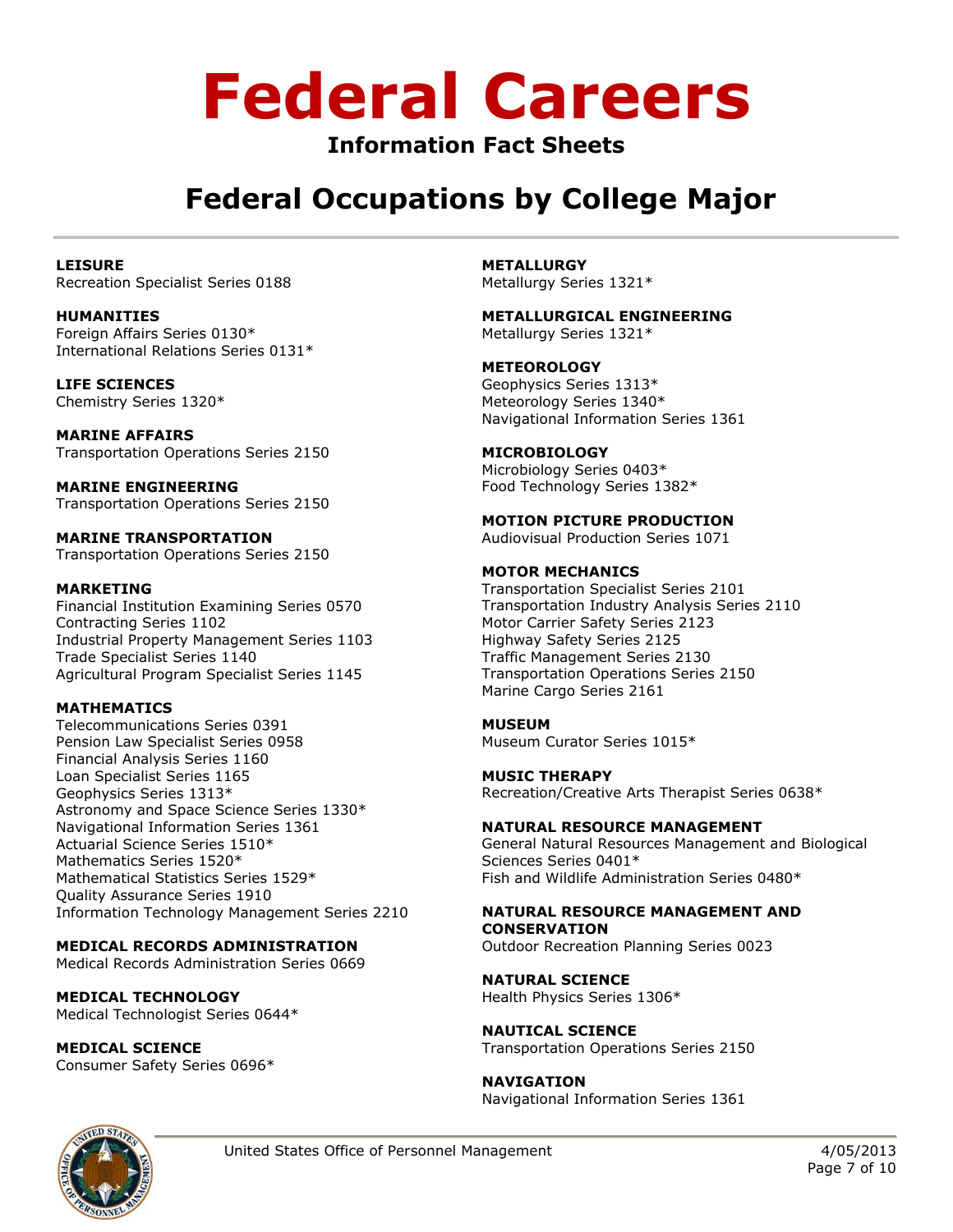### **Information Fact Sheets**

## **Federal Occupations by College Major**

**LEISURE** Recreation Specialist Series 0188

**HUMANITIES** Foreign Affairs Series 0130\* International Relations Series 0131\*

**LIFE SCIENCES** Chemistry Series 1320\*

**MARINE AFFAIRS** Transportation Operations Series 2150

**MARINE ENGINEERING** Transportation Operations Series 2150

**MARINE TRANSPORTATION** Transportation Operations Series 2150

### **MARKETING**

Financial Institution Examining Series 0570 Contracting Series 1102 Industrial Property Management Series 1103 Trade Specialist Series 1140 Agricultural Program Specialist Series 1145

### **MATHEMATICS**

Telecommunications Series 0391 Pension Law Specialist Series 0958 Financial Analysis Series 1160 Loan Specialist Series 1165 Geophysics Series 1313\* Astronomy and Space Science Series 1330\* Navigational Information Series 1361 Actuarial Science Series 1510\* Mathematics Series 1520\* Mathematical Statistics Series 1529\* Quality Assurance Series 1910 Information Technology Management Series 2210

### **MEDICAL RECORDS ADMINISTRATION**

Medical Records Administration Series 0669

**MEDICAL TECHNOLOGY** Medical Technologist Series 0644\*

**MEDICAL SCIENCE**

Consumer Safety Series 0696\*

**METALLURGY** Metallurgy Series 1321\*

**METALLURGICAL ENGINEERING** Metallurgy Series 1321\*

**METEOROLOGY** Geophysics Series 1313\* Meteorology Series 1340\* Navigational Information Series 1361

**MICROBIOLOGY** 

Microbiology Series 0403\* Food Technology Series 1382\*

**MOTION PICTURE PRODUCTION** 

Audiovisual Production Series 1071

**MOTOR MECHANICS**

Transportation Specialist Series 2101 Transportation Industry Analysis Series 2110 Motor Carrier Safety Series 2123 Highway Safety Series 2125 Traffic Management Series 2130 Transportation Operations Series 2150 Marine Cargo Series 2161

**MUSEUM**

Museum Curator Series 1015\*

**MUSIC THERAPY** Recreation/Creative Arts Therapist Series 0638\*

**NATURAL RESOURCE MANAGEMENT**

General Natural Resources Management and Biological Sciences Series 0401\* Fish and Wildlife Administration Series 0480\*

### **NATURAL RESOURCE MANAGEMENT AND**

**CONSERVATION** Outdoor Recreation Planning Series 0023

**NATURAL SCIENCE** Health Physics Series 1306\*

**NAUTICAL SCIENCE** Transportation Operations Series 2150

**NAVIGATION** Navigational Information Series 1361

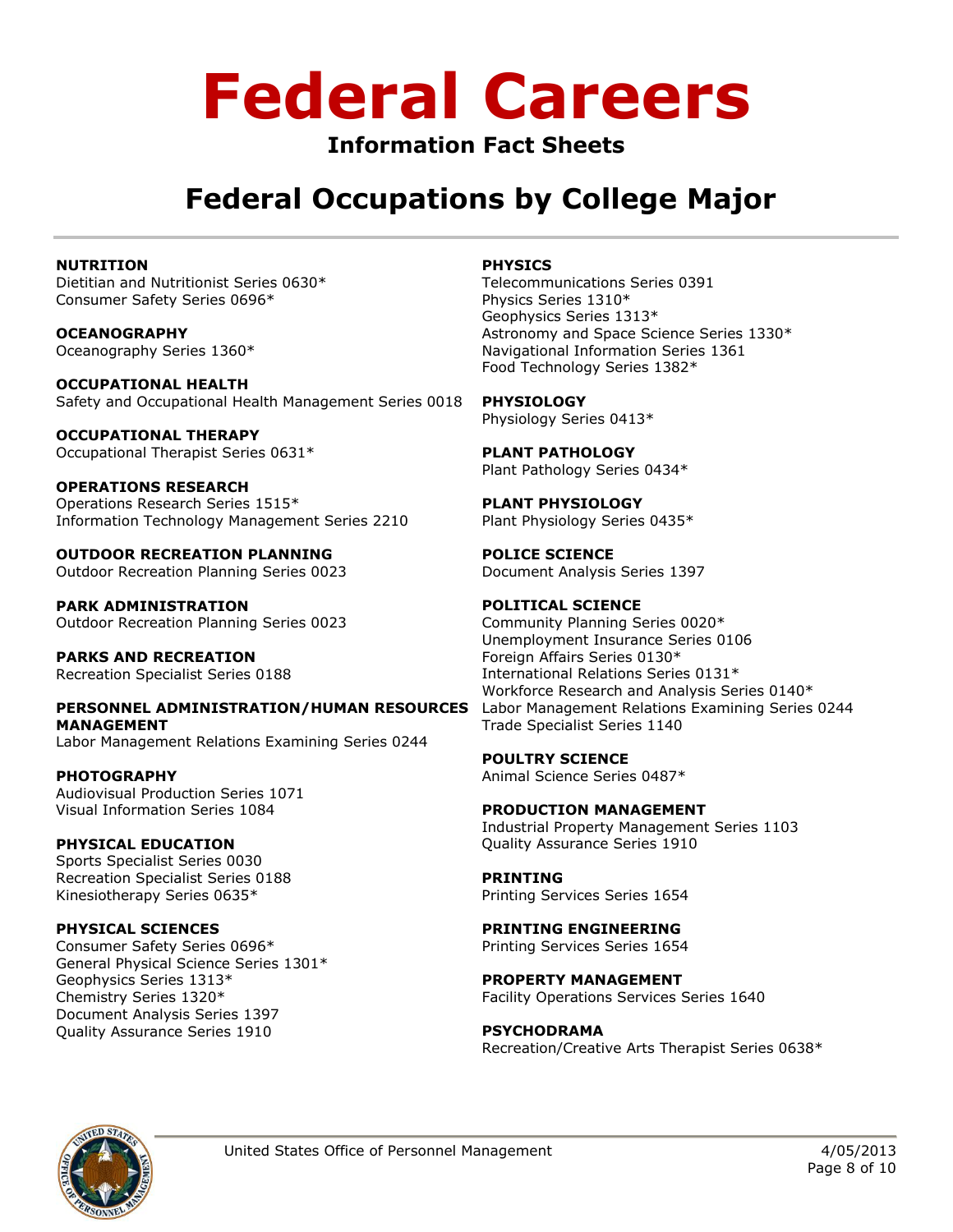### **Information Fact Sheets**

## **Federal Occupations by College Major**

### **NUTRITION**

Dietitian and Nutritionist Series 0630\* Consumer Safety Series 0696\*

**OCEANOGRAPHY** Oceanography Series 1360\*

**OCCUPATIONAL HEALTH**  Safety and Occupational Health Management Series 0018

**OCCUPATIONAL THERAPY**  Occupational Therapist Series 0631\*

**OPERATIONS RESEARCH**  Operations Research Series 1515\* Information Technology Management Series 2210

**OUTDOOR RECREATION PLANNING**  Outdoor Recreation Planning Series 0023

**PARK ADMINISTRATION**  Outdoor Recreation Planning Series 0023

**PARKS AND RECREATION**  Recreation Specialist Series 0188

**PERSONNEL ADMINISTRATION/HUMAN RESOURCES MANAGEMENT**  Labor Management Relations Examining Series 0244

**PHOTOGRAPHY** Audiovisual Production Series 1071 Visual Information Series 1084

**PHYSICAL EDUCATION** Sports Specialist Series 0030 Recreation Specialist Series 0188 Kinesiotherapy Series 0635\*

**PHYSICAL SCIENCES**  Consumer Safety Series 0696\* General Physical Science Series 1301\* Geophysics Series 1313\* Chemistry Series 1320\* Document Analysis Series 1397 Quality Assurance Series 1910

### **PHYSICS**

Telecommunications Series 0391 Physics Series 1310\* Geophysics Series 1313\* Astronomy and Space Science Series 1330\* Navigational Information Series 1361 Food Technology Series 1382\*

**PHYSIOLOGY**

Physiology Series 0413\*

**PLANT PATHOLOGY** Plant Pathology Series 0434\*

**PLANT PHYSIOLOGY** Plant Physiology Series 0435\*

**POLICE SCIENCE** Document Analysis Series 1397

### **POLITICAL SCIENCE**

Community Planning Series 0020\* Unemployment Insurance Series 0106 Foreign Affairs Series 0130\* International Relations Series 0131\* Workforce Research and Analysis Series 0140\* Labor Management Relations Examining Series 0244 Trade Specialist Series 1140

**POULTRY SCIENCE** Animal Science Series 0487\*

**PRODUCTION MANAGEMENT** Industrial Property Management Series 1103 Quality Assurance Series 1910

**PRINTING** Printing Services Series 1654

**PRINTING ENGINEERING** Printing Services Series 1654

**PROPERTY MANAGEMENT** Facility Operations Services Series 1640

**PSYCHODRAMA** Recreation/Creative Arts Therapist Series 0638\*

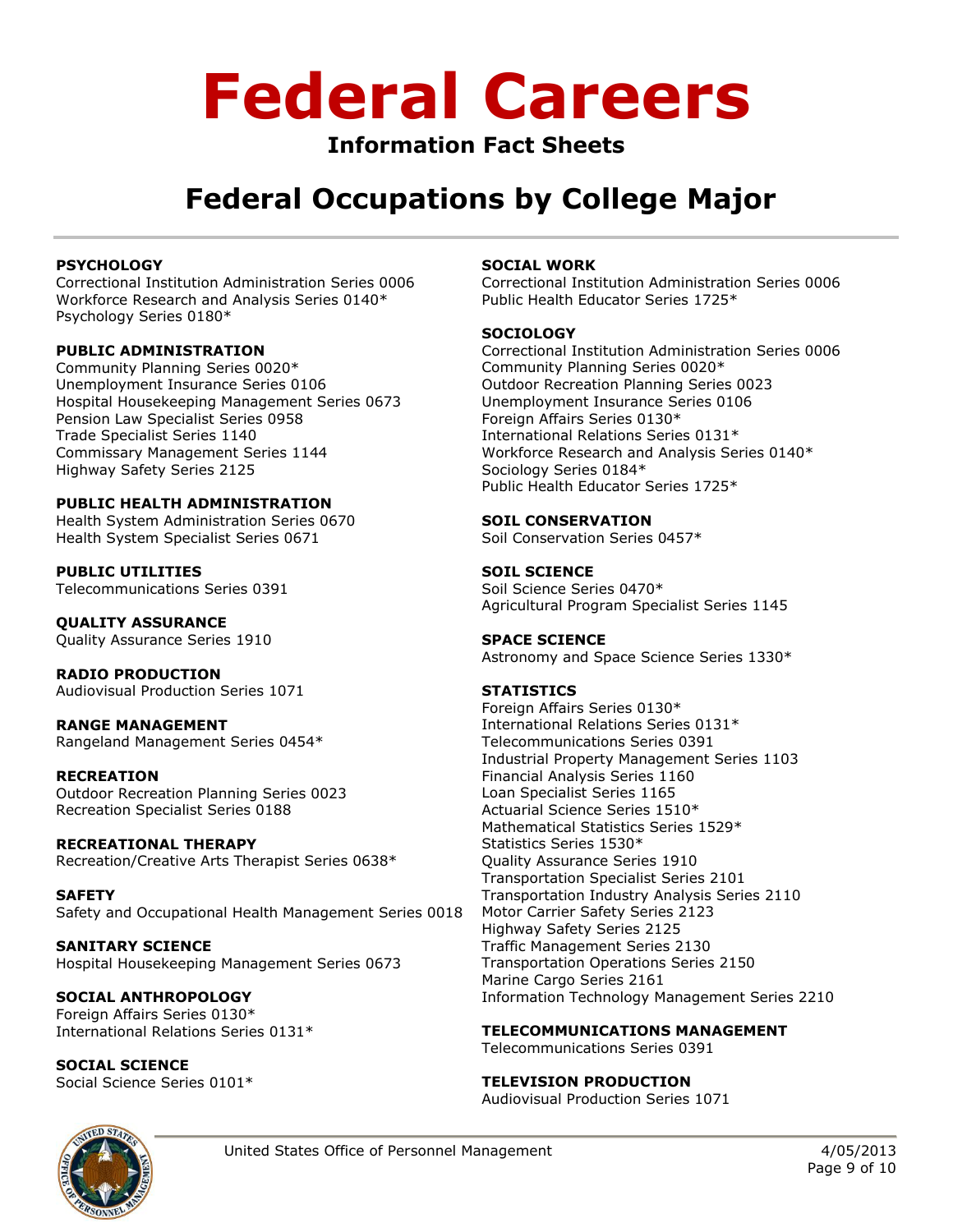### **Information Fact Sheets**

## **Federal Occupations by College Major**

### **PSYCHOLOGY**

Correctional Institution Administration Series 0006 Workforce Research and Analysis Series 0140\* Psychology Series 0180\*

### **PUBLIC ADMINISTRATION**

Community Planning Series 0020\* Unemployment Insurance Series 0106 Hospital Housekeeping Management Series 0673 Pension Law Specialist Series 0958 Trade Specialist Series 1140 Commissary Management Series 1144 Highway Safety Series 2125

### **PUBLIC HEALTH ADMINISTRATION**

Health System Administration Series 0670 Health System Specialist Series 0671

**PUBLIC UTILITIES** Telecommunications Series 0391

**QUALITY ASSURANCE** Quality Assurance Series 1910

**RADIO PRODUCTION** Audiovisual Production Series 1071

**RANGE MANAGEMENT** Rangeland Management Series 0454\*

### **RECREATION**

Outdoor Recreation Planning Series 0023 Recreation Specialist Series 0188

**RECREATIONAL THERAPY** Recreation/Creative Arts Therapist Series 0638\*

**SAFETY** Safety and Occupational Health Management Series 0018

**SANITARY SCIENCE**  Hospital Housekeeping Management Series 0673

**SOCIAL ANTHROPOLOGY**  Foreign Affairs Series 0130\* International Relations Series 0131\*

**SOCIAL SCIENCE** Social Science Series 0101\*

### **SOCIAL WORK**

Correctional Institution Administration Series 0006 Public Health Educator Series 1725\*

### **SOCIOLOGY**

Correctional Institution Administration Series 0006 Community Planning Series 0020\* Outdoor Recreation Planning Series 0023 Unemployment Insurance Series 0106 Foreign Affairs Series 0130\* International Relations Series 0131\* Workforce Research and Analysis Series 0140\* Sociology Series 0184\* Public Health Educator Series 1725\*

### **SOIL CONSERVATION**

Soil Conservation Series 0457\*

### **SOIL SCIENCE**

Soil Science Series 0470\* Agricultural Program Specialist Series 1145

### **SPACE SCIENCE**

Astronomy and Space Science Series 1330\*

### **STATISTICS**

Foreign Affairs Series 0130\* International Relations Series 0131\* Telecommunications Series 0391 Industrial Property Management Series 1103 Financial Analysis Series 1160 Loan Specialist Series 1165 Actuarial Science Series 1510\* Mathematical Statistics Series 1529\* Statistics Series 1530\* Quality Assurance Series 1910 Transportation Specialist Series 2101 Transportation Industry Analysis Series 2110 Motor Carrier Safety Series 2123 Highway Safety Series 2125 Traffic Management Series 2130 Transportation Operations Series 2150 Marine Cargo Series 2161 Information Technology Management Series 2210

**TELECOMMUNICATIONS MANAGEMENT** 

Telecommunications Series 0391

### **TELEVISION PRODUCTION**

Audiovisual Production Series 1071